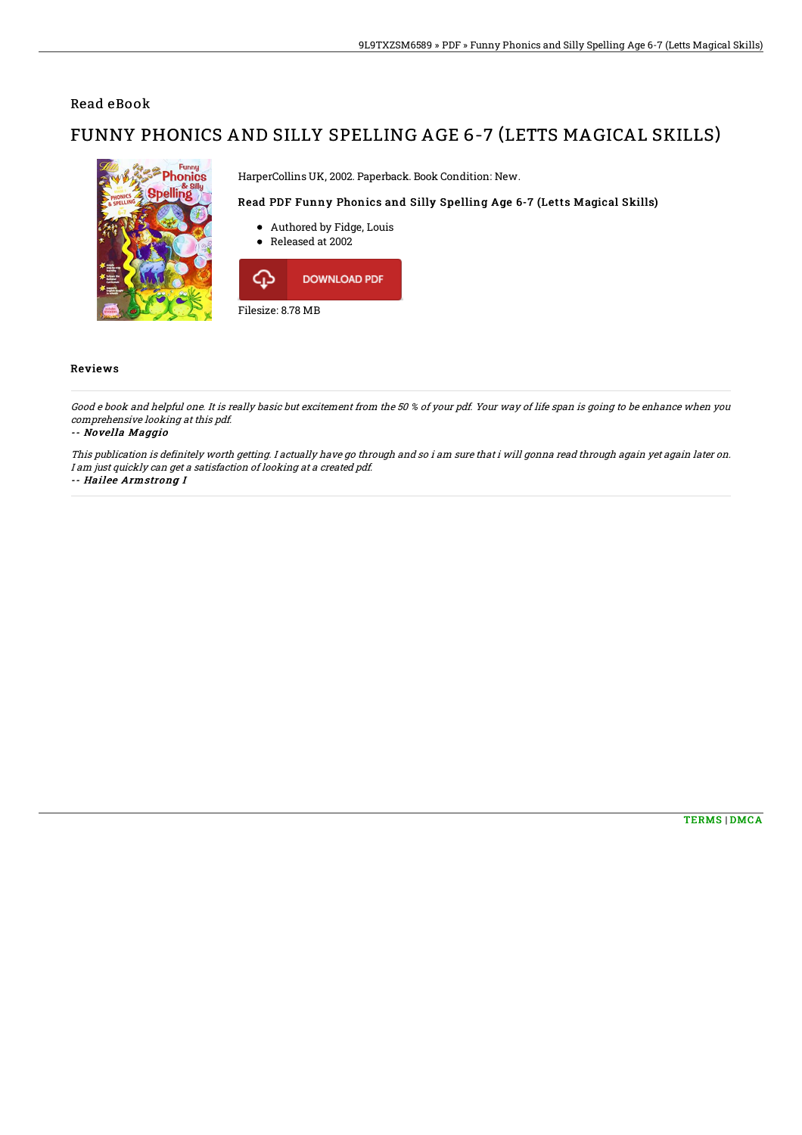## Read eBook

# FUNNY PHONICS AND SILLY SPELLING AGE 6-7 (LETTS MAGICAL SKILLS)



### Filesize: 8.78 MB

#### Reviews

Good <sup>e</sup> book and helpful one. It is really basic but excitement from the 50 % of your pdf. Your way of life span is going to be enhance when you comprehensive looking at this pdf.

-- Novella Maggio

This publication is definitely worth getting. I actually have go through and so i am sure that i will gonna read through again yet again later on. I am just quickly can get <sup>a</sup> satisfaction of looking at <sup>a</sup> created pdf.

-- Hailee Armstrong I